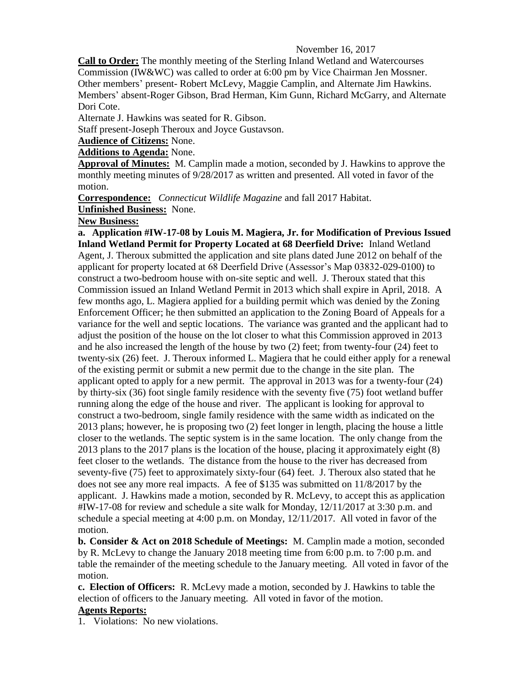## November 16, 2017

**Call to Order:** The monthly meeting of the Sterling Inland Wetland and Watercourses Commission (IW&WC) was called to order at 6:00 pm by Vice Chairman Jen Mossner. Other members' present- Robert McLevy, Maggie Camplin, and Alternate Jim Hawkins. Members' absent-Roger Gibson, Brad Herman, Kim Gunn, Richard McGarry, and Alternate Dori Cote.

Alternate J. Hawkins was seated for R. Gibson.

Staff present-Joseph Theroux and Joyce Gustavson.

**Audience of Citizens:** None.

**Additions to Agenda:** None.

**Approval of Minutes:** M. Camplin made a motion, seconded by J. Hawkins to approve the monthly meeting minutes of 9/28/2017 as written and presented. All voted in favor of the motion.

**Correspondence:** *Connecticut Wildlife Magazine* and fall 2017 Habitat.

**Unfinished Business:** None.

## **New Business:**

**a. Application #IW-17-08 by Louis M. Magiera, Jr. for Modification of Previous Issued Inland Wetland Permit for Property Located at 68 Deerfield Drive:** Inland Wetland Agent, J. Theroux submitted the application and site plans dated June 2012 on behalf of the applicant for property located at 68 Deerfield Drive (Assessor's Map 03832-029-0100) to construct a two-bedroom house with on-site septic and well. J. Theroux stated that this Commission issued an Inland Wetland Permit in 2013 which shall expire in April, 2018. A few months ago, L. Magiera applied for a building permit which was denied by the Zoning Enforcement Officer; he then submitted an application to the Zoning Board of Appeals for a variance for the well and septic locations. The variance was granted and the applicant had to adjust the position of the house on the lot closer to what this Commission approved in 2013 and he also increased the length of the house by two (2) feet; from twenty-four (24) feet to twenty-six (26) feet. J. Theroux informed L. Magiera that he could either apply for a renewal of the existing permit or submit a new permit due to the change in the site plan. The applicant opted to apply for a new permit. The approval in 2013 was for a twenty-four (24) by thirty-six (36) foot single family residence with the seventy five (75) foot wetland buffer running along the edge of the house and river. The applicant is looking for approval to construct a two-bedroom, single family residence with the same width as indicated on the 2013 plans; however, he is proposing two (2) feet longer in length, placing the house a little closer to the wetlands. The septic system is in the same location. The only change from the 2013 plans to the 2017 plans is the location of the house, placing it approximately eight (8) feet closer to the wetlands. The distance from the house to the river has decreased from seventy-five (75) feet to approximately sixty-four (64) feet. J. Theroux also stated that he does not see any more real impacts. A fee of \$135 was submitted on 11/8/2017 by the applicant. J. Hawkins made a motion, seconded by R. McLevy, to accept this as application  $\text{H}$ W-17-08 for review and schedule a site walk for Monday, 12/11/2017 at 3:30 p.m. and schedule a special meeting at 4:00 p.m. on Monday, 12/11/2017. All voted in favor of the motion.

**b. Consider & Act on 2018 Schedule of Meetings:** M. Camplin made a motion, seconded by R. McLevy to change the January 2018 meeting time from 6:00 p.m. to 7:00 p.m. and table the remainder of the meeting schedule to the January meeting. All voted in favor of the motion.

**c. Election of Officers:** R. McLevy made a motion, seconded by J. Hawkins to table the election of officers to the January meeting. All voted in favor of the motion.

## **Agents Reports:**

1. Violations: No new violations.